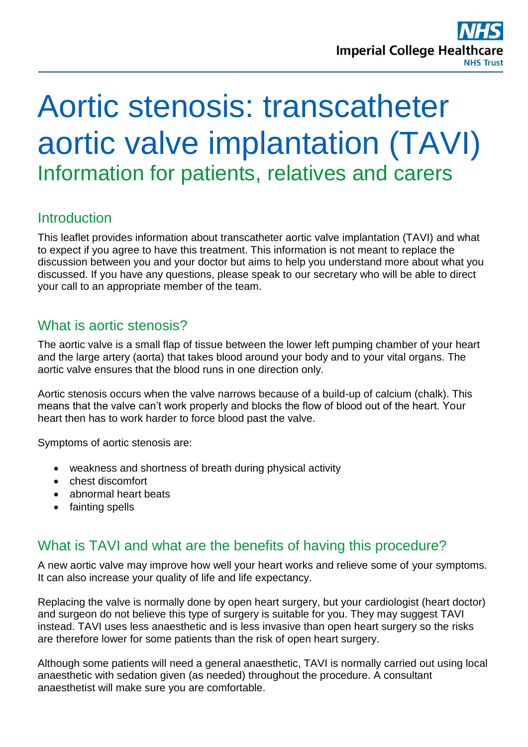# Aortic stenosis: transcatheter aortic valve implantation (TAVI) Information for patients, relatives and carers

# **Introduction**

This leaflet provides information about transcatheter aortic valve implantation (TAVI) and what to expect if you agree to have this treatment. This information is not meant to replace the discussion between you and your doctor but aims to help you understand more about what you discussed. If you have any questions, please speak to our secretary who will be able to direct your call to an appropriate member of the team.

# What is aortic stenosis?

The aortic valve is a small flap of tissue between the lower left pumping chamber of your heart and the large artery (aorta) that takes blood around your body and to your vital organs. The aortic valve ensures that the blood runs in one direction only.

Aortic stenosis occurs when the valve narrows because of a build-up of calcium (chalk). This means that the valve can't work properly and blocks the flow of blood out of the heart. Your heart then has to work harder to force blood past the valve.

Symptoms of aortic stenosis are:

- weakness and shortness of breath during physical activity
- chest discomfort
- abnormal heart beats
- fainting spells

## What is TAVI and what are the benefits of having this procedure?

A new aortic valve may improve how well your heart works and relieve some of your symptoms. It can also increase your quality of life and life expectancy.

Replacing the valve is normally done by open heart surgery, but your cardiologist (heart doctor) and surgeon do not believe this type of surgery is suitable for you. They may suggest TAVI instead. TAVI uses less anaesthetic and is less invasive than open heart surgery so the risks are therefore lower for some patients than the risk of open heart surgery.

Although some patients will need a general anaesthetic, TAVI is normally carried out using local anaesthetic with sedation given (as needed) throughout the procedure. A consultant anaesthetist will make sure you are comfortable.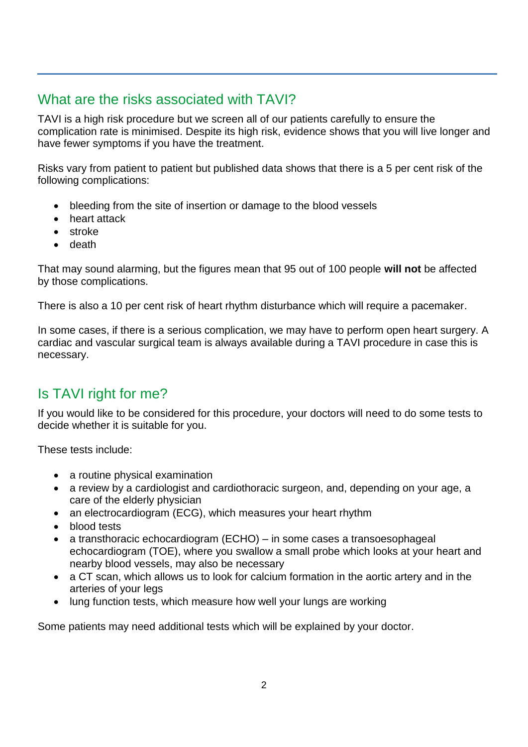# What are the risks associated with TAVI?

TAVI is a high risk procedure but we screen all of our patients carefully to ensure the complication rate is minimised. Despite its high risk, evidence shows that you will live longer and have fewer symptoms if you have the treatment.

Risks vary from patient to patient but published data shows that there is a 5 per cent risk of the following complications:

- bleeding from the site of insertion or damage to the blood vessels
- heart attack
- stroke
- death

That may sound alarming, but the figures mean that 95 out of 100 people **will not** be affected by those complications.

There is also a 10 per cent risk of heart rhythm disturbance which will require a pacemaker.

In some cases, if there is a serious complication, we may have to perform open heart surgery. A cardiac and vascular surgical team is always available during a TAVI procedure in case this is necessary.

# Is TAVI right for me?

If you would like to be considered for this procedure, your doctors will need to do some tests to decide whether it is suitable for you.

These tests include:

- a routine physical examination
- a review by a cardiologist and cardiothoracic surgeon, and, depending on your age, a care of the elderly physician
- an electrocardiogram (ECG), which measures your heart rhythm
- blood tests
- a transthoracic echocardiogram (ECHO) in some cases a transoesophageal echocardiogram (TOE), where you swallow a small probe which looks at your heart and nearby blood vessels, may also be necessary
- a CT scan, which allows us to look for calcium formation in the aortic artery and in the arteries of your legs
- lung function tests, which measure how well your lungs are working

Some patients may need additional tests which will be explained by your doctor.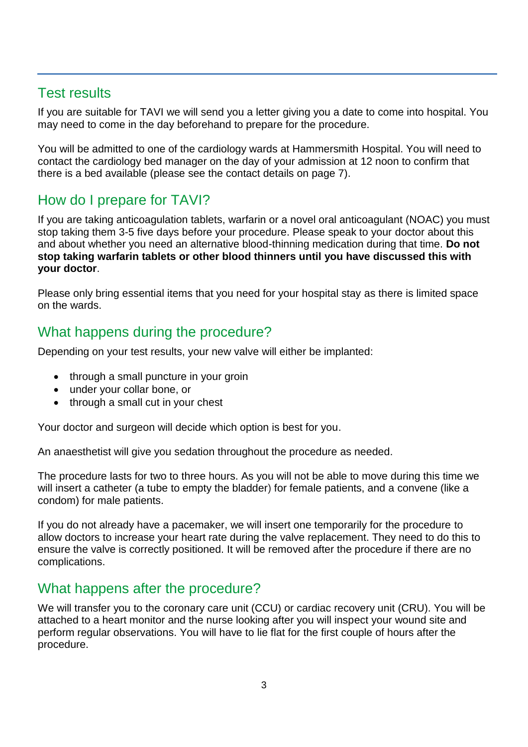## Test results

If you are suitable for TAVI we will send you a letter giving you a date to come into hospital. You may need to come in the day beforehand to prepare for the procedure.

You will be admitted to one of the cardiology wards at Hammersmith Hospital. You will need to contact the cardiology bed manager on the day of your admission at 12 noon to confirm that there is a bed available (please see the contact details on page 7).

# How do I prepare for TAVI?

If you are taking anticoagulation tablets, warfarin or a novel oral anticoagulant (NOAC) you must stop taking them 3-5 five days before your procedure. Please speak to your doctor about this and about whether you need an alternative blood-thinning medication during that time. **Do not stop taking warfarin tablets or other blood thinners until you have discussed this with your doctor**.

Please only bring essential items that you need for your hospital stay as there is limited space on the wards.

# What happens during the procedure?

Depending on your test results, your new valve will either be implanted:

- through a small puncture in your groin
- under your collar bone, or
- through a small cut in your chest

Your doctor and surgeon will decide which option is best for you.

An anaesthetist will give you sedation throughout the procedure as needed.

The procedure lasts for two to three hours. As you will not be able to move during this time we will insert a catheter (a tube to empty the bladder) for female patients, and a convene (like a condom) for male patients.

If you do not already have a pacemaker, we will insert one temporarily for the procedure to allow doctors to increase your heart rate during the valve replacement. They need to do this to ensure the valve is correctly positioned. It will be removed after the procedure if there are no complications.

## What happens after the procedure?

We will transfer you to the coronary care unit (CCU) or cardiac recovery unit (CRU). You will be attached to a heart monitor and the nurse looking after you will inspect your wound site and perform regular observations. You will have to lie flat for the first couple of hours after the procedure.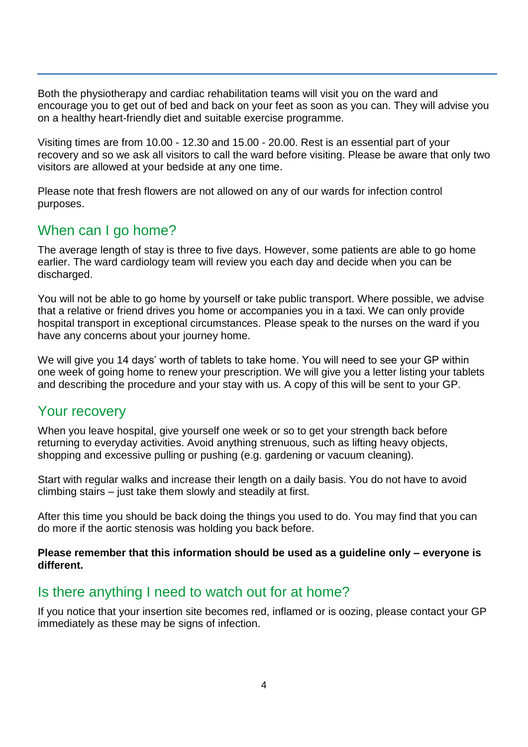Both the physiotherapy and cardiac rehabilitation teams will visit you on the ward and encourage you to get out of bed and back on your feet as soon as you can. They will advise you on a healthy heart-friendly diet and suitable exercise programme.

Visiting times are from 10.00 - 12.30 and 15.00 - 20.00. Rest is an essential part of your recovery and so we ask all visitors to call the ward before visiting. Please be aware that only two visitors are allowed at your bedside at any one time.

Please note that fresh flowers are not allowed on any of our wards for infection control purposes.

# When can I go home?

The average length of stay is three to five days. However, some patients are able to go home earlier. The ward cardiology team will review you each day and decide when you can be discharged.

You will not be able to go home by yourself or take public transport. Where possible, we advise that a relative or friend drives you home or accompanies you in a taxi. We can only provide hospital transport in exceptional circumstances. Please speak to the nurses on the ward if you have any concerns about your journey home.

We will give you 14 days' worth of tablets to take home. You will need to see your GP within one week of going home to renew your prescription. We will give you a letter listing your tablets and describing the procedure and your stay with us. A copy of this will be sent to your GP.

#### Your recovery

When you leave hospital, give yourself one week or so to get your strength back before returning to everyday activities. Avoid anything strenuous, such as lifting heavy objects, shopping and excessive pulling or pushing (e.g. gardening or vacuum cleaning).

Start with regular walks and increase their length on a daily basis. You do not have to avoid climbing stairs – just take them slowly and steadily at first.

After this time you should be back doing the things you used to do. You may find that you can do more if the aortic stenosis was holding you back before.

#### **Please remember that this information should be used as a guideline only – everyone is different.**

#### Is there anything I need to watch out for at home?

If you notice that your insertion site becomes red, inflamed or is oozing, please contact your GP immediately as these may be signs of infection.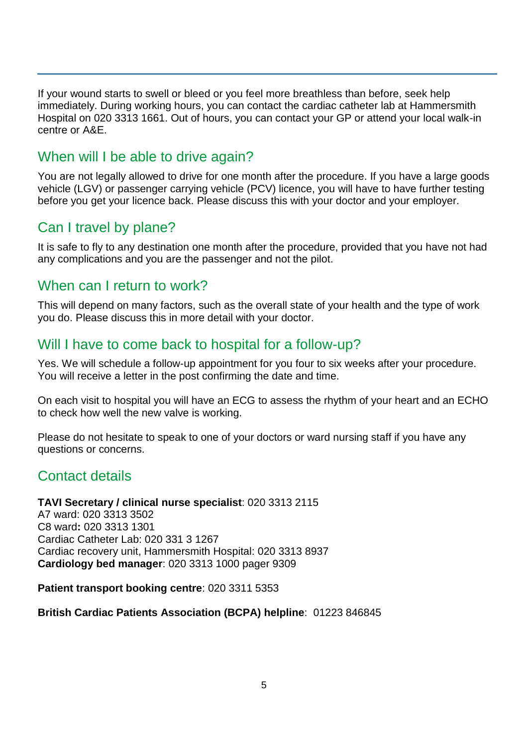If your wound starts to swell or bleed or you feel more breathless than before, seek help immediately. During working hours, you can contact the cardiac catheter lab at Hammersmith Hospital on 020 3313 1661. Out of hours, you can contact your GP or attend your local walk-in centre or A&E.

#### When will I be able to drive again?

You are not legally allowed to drive for one month after the procedure. If you have a large goods vehicle (LGV) or passenger carrying vehicle (PCV) licence, you will have to have further testing before you get your licence back. Please discuss this with your doctor and your employer.

# Can I travel by plane?

It is safe to fly to any destination one month after the procedure, provided that you have not had any complications and you are the passenger and not the pilot.

## When can I return to work?

This will depend on many factors, such as the overall state of your health and the type of work you do. Please discuss this in more detail with your doctor.

#### Will I have to come back to hospital for a follow-up?

Yes. We will schedule a follow-up appointment for you four to six weeks after your procedure. You will receive a letter in the post confirming the date and time.

On each visit to hospital you will have an ECG to assess the rhythm of your heart and an ECHO to check how well the new valve is working.

Please do not hesitate to speak to one of your doctors or ward nursing staff if you have any questions or concerns.

## Contact details

#### **TAVI Secretary / clinical nurse specialist**: 020 3313 2115

A7 ward: 020 3313 3502 C8 ward**:** 020 3313 1301 Cardiac Catheter Lab: 020 331 3 1267 Cardiac recovery unit, Hammersmith Hospital: 020 3313 8937 **Cardiology bed manager**: 020 3313 1000 pager 9309

**Patient transport booking centre**: 020 3311 5353

#### **British Cardiac Patients Association (BCPA) helpline**: 01223 846845